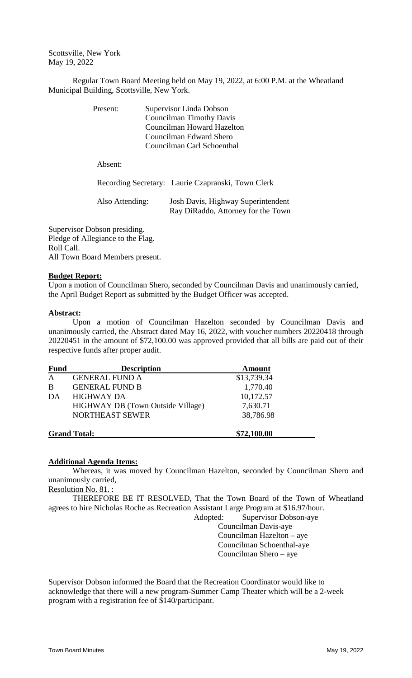Scottsville, New York May 19, 2022

Regular Town Board Meeting held on May 19, 2022, at 6:00 P.M. at the Wheatland Municipal Building, Scottsville, New York.

| Present: | Supervisor Linda Dobson<br><b>Councilman Timothy Davis</b> |
|----------|------------------------------------------------------------|
|          | Councilman Howard Hazelton                                 |
|          | Councilman Edward Shero                                    |
|          | Councilman Carl Schoenthal                                 |
| Absent:  |                                                            |
|          | Recording Secretary: Laurie Czapranski, Town Clerk         |

| Also Attending: | Josh Davis, Highway Superintendent |
|-----------------|------------------------------------|
|                 | Ray DiRaddo, Attorney for the Town |

Supervisor Dobson presiding. Pledge of Allegiance to the Flag. Roll Call. All Town Board Members present.

## **Budget Report:**

Upon a motion of Councilman Shero, seconded by Councilman Davis and unanimously carried, the April Budget Report as submitted by the Budget Officer was accepted.

## **Abstract:**

Upon a motion of Councilman Hazelton seconded by Councilman Davis and unanimously carried, the Abstract dated May 16, 2022, with voucher numbers 20220418 through 20220451 in the amount of \$72,100.00 was approved provided that all bills are paid out of their respective funds after proper audit.

| <b>Fund</b>  | <b>Description</b>                       | <b>Amount</b> |
|--------------|------------------------------------------|---------------|
| $\mathbf{A}$ | <b>GENERAL FUND A</b>                    | \$13,739.34   |
| B            | <b>GENERAL FUND B</b>                    | 1,770.40      |
| DA           | <b>HIGHWAY DA</b>                        | 10,172.57     |
|              | <b>HIGHWAY DB</b> (Town Outside Village) | 7,630.71      |
|              | NORTHEAST SEWER                          | 38,786.98     |
|              | <b>Grand Total:</b>                      | \$72,100.00   |

## **Additional Agenda Items:**

Whereas, it was moved by Councilman Hazelton, seconded by Councilman Shero and unanimously carried,

Resolution No. 81. :

THEREFORE BE IT RESOLVED, That the Town Board of the Town of Wheatland agrees to hire Nicholas Roche as Recreation Assistant Large Program at \$16.97/hour.

Adopted: Supervisor Dobson-aye Councilman Davis-aye Councilman Hazelton – aye Councilman Schoenthal-aye Councilman Shero – aye

Supervisor Dobson informed the Board that the Recreation Coordinator would like to acknowledge that there will a new program-Summer Camp Theater which will be a 2-week program with a registration fee of \$140/participant.